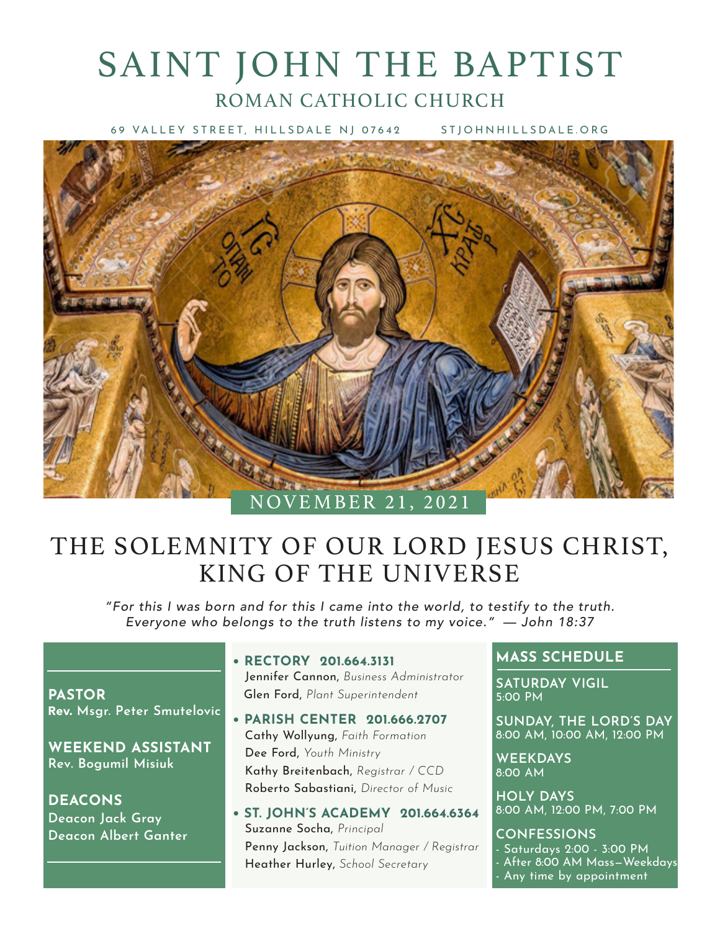# SAINT JOHN THE BAPTIST ROMAN CATHOLIC CHURCH

69 VALLEY STREET, HILLSDALE NJ 07642 STJOHNHILLSDALE.ORG



# THE SOLEMNITY OF OUR LORD JESUS CHRIST, KING OF THE UNIVERSE

*"For this I was born and for this I came into the world, to testify to the truth. Everyone who belongs to the truth listens to my voice." — John 18:37*

**PASTOR** Rev. **Msgr. Peter Smutelovic**

**WEEKEND ASSISTANT Rev. Bogumil Misiuk**

**DEACONS Deacon Jack Gray Deacon Albert Ganter** **• RECTORY 201.664.3131**

Jennifer Cannon, *Business Administrator* Glen Ford, *Plant Superintendent*

- **PARISH CENTER 201.666.2707** Cathy Wollyung, *Faith Formation* Dee Ford, *Youth Ministry* Kathy Breitenbach, *Registrar / CCD* Roberto Sabastiani, *Director of Music*
- **ST. JOHN'S ACADEMY 201.664.6364** Suzanne Socha, *Principal* Penny Jackson, *Tuition Manager / Registrar* Heather Hurley, *School Secretary*

### **MASS SCHEDULE**

**SATURDAY VIGIL** 5:00 PM

**SUNDAY, THE LORD'S DAY** 8:00 AM, 10:00 AM, 12:00 PM

**WEEKDAYS** 8:00 AM

**HOLY DAYS** 8:00 AM, 12:00 PM, 7:00 PM

**CONFESSIONS** - Saturdays 2:00 - 3:00 PM - After 8:00 AM Mass—Weekdays - Any time by appointment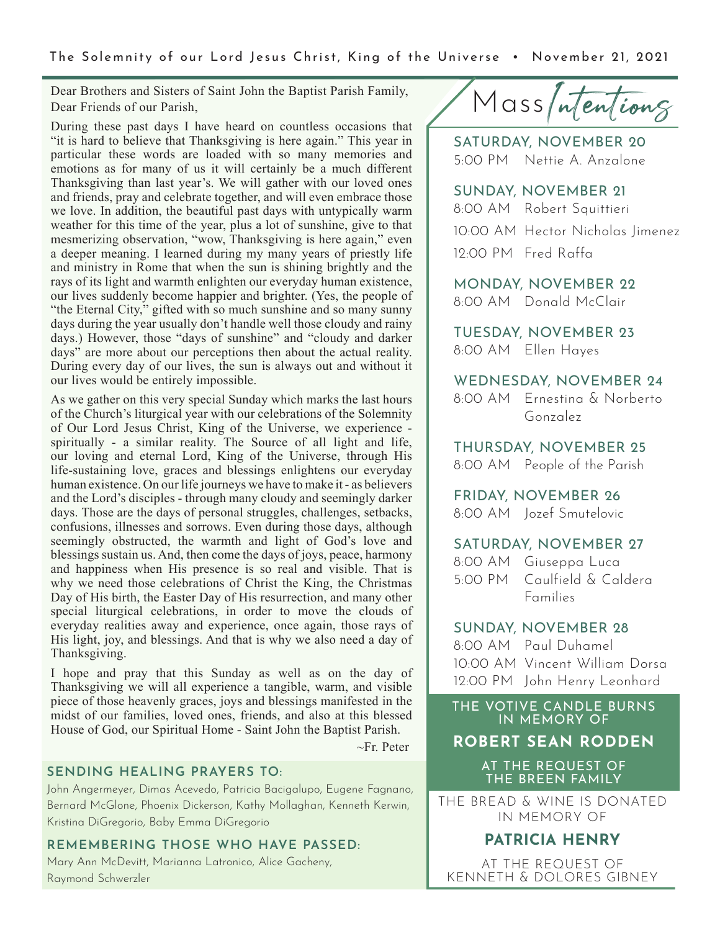The Solemnity of our Lord Jesus Christ, King of the Universe • November 21, 2021

Dear Brothers and Sisters of Saint John the Baptist Parish Family, Dear Friends of our Parish,

During these past days I have heard on countless occasions that "it is hard to believe that Thanksgiving is here again." This year in particular these words are loaded with so many memories and emotions as for many of us it will certainly be a much different Thanksgiving than last year's. We will gather with our loved ones and friends, pray and celebrate together, and will even embrace those we love. In addition, the beautiful past days with untypically warm weather for this time of the year, plus a lot of sunshine, give to that mesmerizing observation, "wow, Thanksgiving is here again," even a deeper meaning. I learned during my many years of priestly life and ministry in Rome that when the sun is shining brightly and the rays of its light and warmth enlighten our everyday human existence, our lives suddenly become happier and brighter. (Yes, the people of "the Eternal City," gifted with so much sunshine and so many sunny days during the year usually don't handle well those cloudy and rainy days.) However, those "days of sunshine" and "cloudy and darker days" are more about our perceptions then about the actual reality. During every day of our lives, the sun is always out and without it our lives would be entirely impossible.

As we gather on this very special Sunday which marks the last hours of the Church's liturgical year with our celebrations of the Solemnity of Our Lord Jesus Christ, King of the Universe, we experience spiritually - a similar reality. The Source of all light and life, our loving and eternal Lord, King of the Universe, through His life-sustaining love, graces and blessings enlightens our everyday human existence. On our life journeys we have to make it - as believers and the Lord's disciples - through many cloudy and seemingly darker days. Those are the days of personal struggles, challenges, setbacks, confusions, illnesses and sorrows. Even during those days, although seemingly obstructed, the warmth and light of God's love and blessings sustain us. And, then come the days of joys, peace, harmony and happiness when His presence is so real and visible. That is why we need those celebrations of Christ the King, the Christmas Day of His birth, the Easter Day of His resurrection, and many other special liturgical celebrations, in order to move the clouds of everyday realities away and experience, once again, those rays of His light, joy, and blessings. And that is why we also need a day of Thanksgiving.

I hope and pray that this Sunday as well as on the day of Thanksgiving we will all experience a tangible, warm, and visible piece of those heavenly graces, joys and blessings manifested in the midst of our families, loved ones, friends, and also at this blessed House of God, our Spiritual Home - Saint John the Baptist Parish.

~Fr. Peter

#### **SENDING HEALING PRAYERS TO:**

John Angermeyer, Dimas Acevedo, Patricia Bacigalupo, Eugene Fagnano, Bernard McGlone, Phoenix Dickerson, Kathy Mollaghan, Kenneth Kerwin, Kristina DiGregorio, Baby Emma DiGregorio

#### **REMEMBERING THOSE WHO HAVE PASSED:**

Mary Ann McDevitt, Marianna Latronico, Alice Gacheny, Raymond Schwerzler

Mass/ntentiong

SATURDAY, NOVEMBER 20 5:00 PM Nettie A. Anzalone

SUNDAY, NOVEMBER 21 8:00 AM Robert Squittieri 10:00 AM Hector Nicholas Jimenez 12:00 PM Fred Raffa

MONDAY, NOVEMBER 22 8:00 AM Donald McClair

TUESDAY, NOVEMBER 23 8:00 AM Ellen Hayes

#### WEDNESDAY, NOVEMBER 24

8:00 AM Ernestina & Norberto Gonzalez

THURSDAY, NOVEMBER 25 8:00 AM People of the Parish

FRIDAY, NOVEMBER 26 8:00 AM Jozef Smutelovic

#### SATURDAY, NOVEMBER 27

| 8:00 AM Giuseppa Luca       |
|-----------------------------|
| 5:00 PM Caulfield & Caldera |
| <b>Families</b>             |

#### SUNDAY, NOVEMBER 28

8:00 AM Paul Duhamel 10:00 AM Vincent William Dorsa 12:00 PM John Henry Leonhard

THE VOTIVE CANDLE BURNS IN MEMORY OF

**ROBERT SEAN RODDEN**

AT THE REQUEST OF THE BREEN FAMILY

THE BREAD & WINE IS DONATED IN MEMORY OF

### **PATRICIA HENRY**

AT THE REQUEST OF KENNETH & DOLORES GIBNEY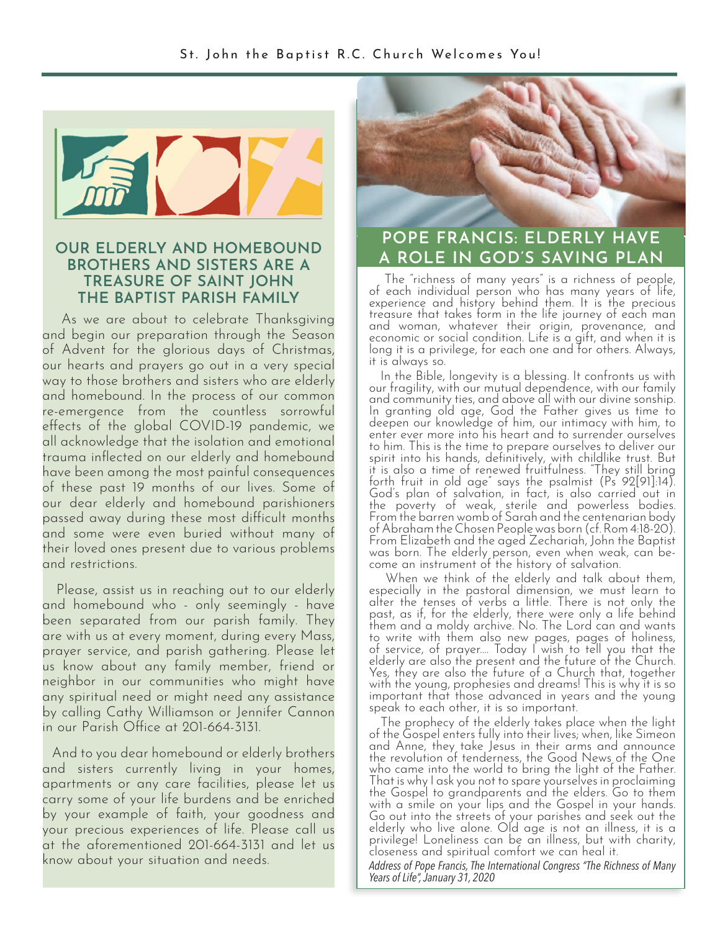

# **BROTHERS AND SISTERS ARE A TREASURE OF SAINT JOHN THE BAPTIST PARISH FAMILY**

 As we are about to celebrate Thanksgiving and begin our preparation through the Season of Advent for the glorious days of Christmas, our hearts and prayers go out in a very special way to those brothers and sisters who are elderly and homebound. In the process of our common re-emergence from the countless sorrowful effects of the global COVID-19 pandemic, we all acknowledge that the isolation and emotional trauma inflected on our elderly and homebound have been among the most painful consequences of these past 19 months of our lives. Some of our dear elderly and homebound parishioners passed away during these most difficult months and some were even buried without many of their loved ones present due to various problems and restrictions.

 Please, assist us in reaching out to our elderly and homebound who - only seemingly - have been separated from our parish family. They are with us at every moment, during every Mass, prayer service, and parish gathering. Please let us know about any family member, friend or neighbor in our communities who might have any spiritual need or might need any assistance by calling Cathy Williamson or Jennifer Cannon in our Parish Office at 201-664-3131.

 And to you dear homebound or elderly brothers and sisters currently living in your homes, apartments or any care facilities, please let us carry some of your life burdens and be enriched by your example of faith, your goodness and your precious experiences of life. Please call us at the aforementioned 201-664-3131 and let us know about your situation and needs.



### **POPE FRANCIS: ELDERLY HAVE A ROLE IN GOD'S SAVING PLAN**<br>BROTHERS AND SISTERS ARE A **A ROLE IN GOD'S SAVING PLAN**

 The "richness of many years" is a richness of people, of each individual person who has many years of life, experience and history behind them. It is the precious treasure that takes form in the life journey of each man and woman, whatever their origin, provenance, and economic or social condition. Life is a gift, and when it is long it is a privilege, for each one and for others. Always, it is always so.

 In the Bible, longevity is a blessing. It confronts us with our fragility, with our mutual dependence, with our family and community ties, and above all with our divine sonship. In granting old age, God the Father gives us time to deepen our knowledge of him, our intimacy with him, to enter ever more into his heart and to surrender ourselves to him. This is the time to prepare ourselves to deliver our spirit into his hands, definitively, with childlike trust. But it is also a time of renewed fruitfulness. "They still bring forth fruit in old age" says the psalmist  $(Ps'$  92[91]:14). God's plan of salvation, in fact, is also carried out in the poverty of weak, sterile and powerless bodies. From the barren womb of Sarah and the centenarian body of Abraham the Chosen People was born (cf. Rom 4:18-20). From Elizabeth and the aged Zechariah, John the Baptist was born. The elderly person, even when weak, can be- come an instrument of the history of salvation.

 When we think of the elderly and talk about them, especially in the pastoral dimension, we must learn to alter the tenses of verbs a little. There is not only the past, as if, for the elderly, there were only a life behind them and a moldy archive. No. The Lord can and wants to write with them also new pages, pages of holiness, of service, of prayer.... Today I wish to tell you that the elderly are also the present and the future of the Church. Yes, they are also the future of a Church that, together with the young, prophesies and dreams! This is why it is so important that those advanced in years and the young speak to each other, it is so important.

 The prophecy of the elderly takes place when the light of the Gospel enters fully into their lives; when, like Simeon and Anne, they take Jesus in their arms and announce the revolution of tenderness, the Good News of the One who came into the world to bring the light of the Father. That is why I ask you not to spare yourselves in proclaiming the Gospel to grandparents and the elders. Go to them with a smile on your lips and the Gospel in your hands. Go out into the streets of your parishes and seek out the elderly who live alone. Old age is not an illness, it is a privilege! Loneliness can be an illness, but with charity, closeness and spiritual comfort we can heal it.

*Address of Pope Francis, The International Congress "The Richness of Many Years of Life", January 31, 2020*